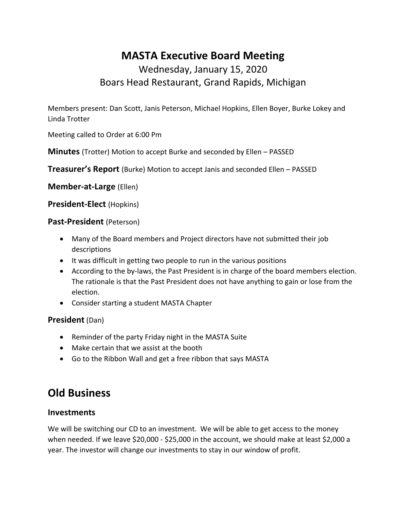# **MASTA Executive Board Meeting**

## Wednesday, January 15, 2020 Boars Head Restaurant, Grand Rapids, Michigan

Members present: Dan Scott, Janis Peterson, Michael Hopkins, Ellen Boyer, Burke Lokey and Linda Trotter

Meeting called to Order at 6:00 Pm

**Minutes** (Trotter) Motion to accept Burke and seconded by Ellen – PASSED

**Treasurer's Report** (Burke) Motion to accept Janis and seconded Ellen – PASSED

**Member-at-Large** (Ellen)

#### **President-Elect** (Hopkins)

#### **Past-President** (Peterson)

- Many of the Board members and Project directors have not submitted their job descriptions
- It was difficult in getting two people to run in the various positions
- According to the by-laws, the Past President is in charge of the board members election. The rationale is that the Past President does not have anything to gain or lose from the election.
- Consider starting a student MASTA Chapter

#### **President** (Dan)

- Reminder of the party Friday night in the MASTA Suite
- Make certain that we assist at the booth
- Go to the Ribbon Wall and get a free ribbon that says MASTA

# **Old Business**

#### **Investments**

We will be switching our CD to an investment. We will be able to get access to the money when needed. If we leave \$20,000 - \$25,000 in the account, we should make at least \$2,000 a year. The investor will change our investments to stay in our window of profit.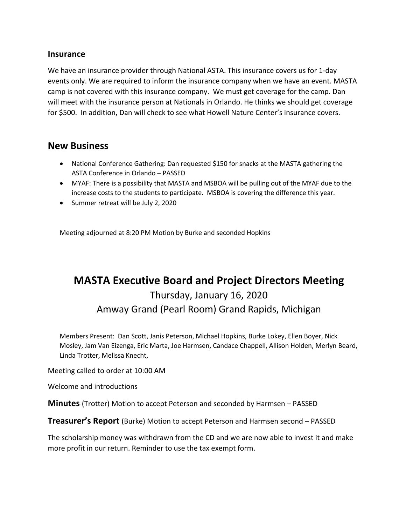#### **Insurance**

We have an insurance provider through National ASTA. This insurance covers us for 1-day events only. We are required to inform the insurance company when we have an event. MASTA camp is not covered with this insurance company. We must get coverage for the camp. Dan will meet with the insurance person at Nationals in Orlando. He thinks we should get coverage for \$500. In addition, Dan will check to see what Howell Nature Center's insurance covers.

#### **New Business**

- National Conference Gathering: Dan requested \$150 for snacks at the MASTA gathering the ASTA Conference in Orlando – PASSED
- MYAF: There is a possibility that MASTA and MSBOA will be pulling out of the MYAF due to the increase costs to the students to participate. MSBOA is covering the difference this year.
- Summer retreat will be July 2, 2020

Meeting adjourned at 8:20 PM Motion by Burke and seconded Hopkins

# **MASTA Executive Board and Project Directors Meeting** Thursday, January 16, 2020 Amway Grand (Pearl Room) Grand Rapids, Michigan

Members Present: Dan Scott, Janis Peterson, Michael Hopkins, Burke Lokey, Ellen Boyer, Nick Mosley, Jam Van Eizenga, Eric Marta, Joe Harmsen, Candace Chappell, Allison Holden, Merlyn Beard, Linda Trotter, Melissa Knecht,

Meeting called to order at 10:00 AM

Welcome and introductions

**Minutes** (Trotter) Motion to accept Peterson and seconded by Harmsen – PASSED

**Treasurer's Report** (Burke) Motion to accept Peterson and Harmsen second – PASSED

The scholarship money was withdrawn from the CD and we are now able to invest it and make more profit in our return. Reminder to use the tax exempt form.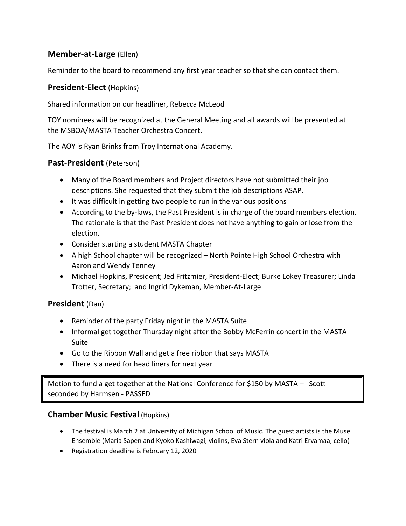#### **Member-at-Large** (Ellen)

Reminder to the board to recommend any first year teacher so that she can contact them.

#### **President-Elect** (Hopkins)

Shared information on our headliner, Rebecca McLeod

TOY nominees will be recognized at the General Meeting and all awards will be presented at the MSBOA/MASTA Teacher Orchestra Concert.

The AOY is Ryan Brinks from Troy International Academy.

#### **Past-President** (Peterson)

- Many of the Board members and Project directors have not submitted their job descriptions. She requested that they submit the job descriptions ASAP.
- It was difficult in getting two people to run in the various positions
- According to the by-laws, the Past President is in charge of the board members election. The rationale is that the Past President does not have anything to gain or lose from the election.
- Consider starting a student MASTA Chapter
- A high School chapter will be recognized North Pointe High School Orchestra with Aaron and Wendy Tenney
- Michael Hopkins, President; Jed Fritzmier, President-Elect; Burke Lokey Treasurer; Linda Trotter, Secretary; and Ingrid Dykeman, Member-At-Large

### **President** (Dan)

- Reminder of the party Friday night in the MASTA Suite
- Informal get together Thursday night after the Bobby McFerrin concert in the MASTA Suite
- Go to the Ribbon Wall and get a free ribbon that says MASTA
- There is a need for head liners for next year

Motion to fund a get together at the National Conference for \$150 by MASTA – Scott seconded by Harmsen - PASSED

#### **Chamber Music Festival** (Hopkins)

- The festival is March 2 at University of Michigan School of Music. The guest artists is the Muse Ensemble (Maria Sapen and Kyoko Kashiwagi, violins, Eva Stern viola and Katri Ervamaa, cello)
- Registration deadline is February 12, 2020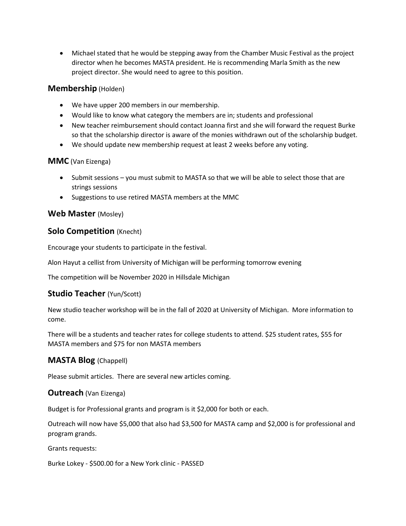• Michael stated that he would be stepping away from the Chamber Music Festival as the project director when he becomes MASTA president. He is recommending Marla Smith as the new project director. She would need to agree to this position.

#### **Membership** (Holden)

- We have upper 200 members in our membership.
- Would like to know what category the members are in; students and professional
- New teacher reimbursement should contact Joanna first and she will forward the request Burke so that the scholarship director is aware of the monies withdrawn out of the scholarship budget.
- We should update new membership request at least 2 weeks before any voting.

#### **MMC** (Van Eizenga)

- Submit sessions you must submit to MASTA so that we will be able to select those that are strings sessions
- Suggestions to use retired MASTA members at the MMC

#### **Web Master** (Mosley)

#### **Solo Competition** (Knecht)

Encourage your students to participate in the festival.

Alon Hayut a cellist from University of Michigan will be performing tomorrow evening

The competition will be November 2020 in Hillsdale Michigan

#### **Studio Teacher** (Yun/Scott)

New studio teacher workshop will be in the fall of 2020 at University of Michigan. More information to come.

There will be a students and teacher rates for college students to attend. \$25 student rates, \$55 for MASTA members and \$75 for non MASTA members

#### **MASTA Blog** (Chappell)

Please submit articles. There are several new articles coming.

#### **Outreach** (Van Eizenga)

Budget is for Professional grants and program is it \$2,000 for both or each.

Outreach will now have \$5,000 that also had \$3,500 for MASTA camp and \$2,000 is for professional and program grands.

Grants requests:

Burke Lokey - \$500.00 for a New York clinic - PASSED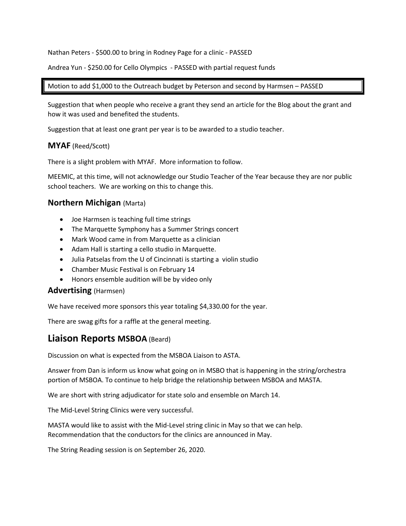Nathan Peters - \$500.00 to bring in Rodney Page for a clinic - PASSED

Andrea Yun - \$250.00 for Cello Olympics - PASSED with partial request funds

#### Motion to add \$1,000 to the Outreach budget by Peterson and second by Harmsen – PASSED

Suggestion that when people who receive a grant they send an article for the Blog about the grant and how it was used and benefited the students.

Suggestion that at least one grant per year is to be awarded to a studio teacher.

#### **MYAF** (Reed/Scott)

There is a slight problem with MYAF. More information to follow.

MEEMIC, at this time, will not acknowledge our Studio Teacher of the Year because they are nor public school teachers. We are working on this to change this.

#### **Northern Michigan** (Marta)

- Joe Harmsen is teaching full time strings
- The Marquette Symphony has a Summer Strings concert
- Mark Wood came in from Marquette as a clinician
- Adam Hall is starting a cello studio in Marquette.
- Julia Patselas from the U of Cincinnati is starting a violin studio
- Chamber Music Festival is on February 14
- Honors ensemble audition will be by video only

#### **Advertising** (Harmsen)

We have received more sponsors this year totaling \$4,330.00 for the year.

There are swag gifts for a raffle at the general meeting.

#### **Liaison Reports MSBOA** (Beard)

Discussion on what is expected from the MSBOA Liaison to ASTA.

Answer from Dan is inform us know what going on in MSBO that is happening in the string/orchestra portion of MSBOA. To continue to help bridge the relationship between MSBOA and MASTA.

We are short with string adjudicator for state solo and ensemble on March 14.

The Mid-Level String Clinics were very successful.

MASTA would like to assist with the Mid-Level string clinic in May so that we can help. Recommendation that the conductors for the clinics are announced in May.

The String Reading session is on September 26, 2020.